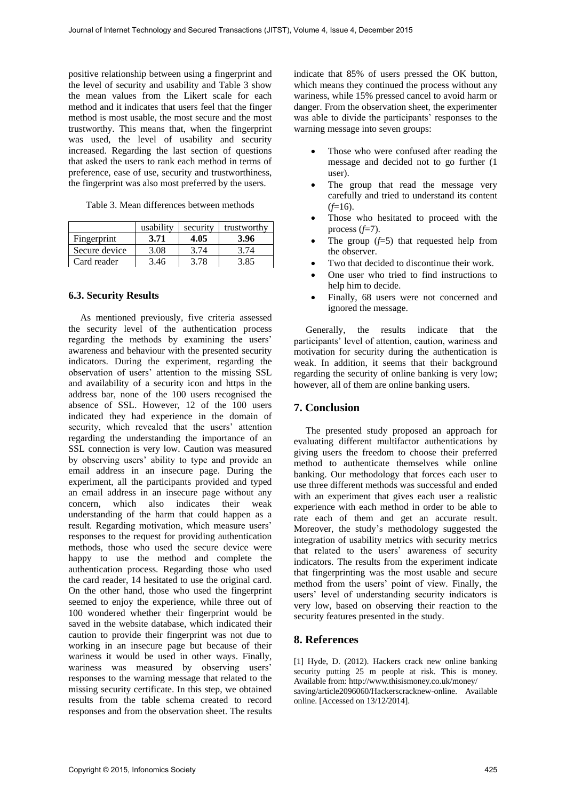positive relationship between using a fingerprint and the level of security and usability and Table 3 show the mean values from the Likert scale for each method and it indicates that users feel that the finger method is most usable, the most secure and the most trustworthy. This means that, when the fingerprint was used, the level of usability and security increased. Regarding the last section of questions that asked the users to rank each method in terms of preference, ease of use, security and trustworthiness, the fingerprint was also most preferred by the users.

| Table 3. Mean differences between methods |  |  |  |  |  |
|-------------------------------------------|--|--|--|--|--|
|-------------------------------------------|--|--|--|--|--|

|               | usability | security | trustworthy |
|---------------|-----------|----------|-------------|
| Fingerprint   | 3.71      | 4.05     | 3.96        |
| Secure device | 3.08      | 3.74     | 3 74        |
| Card reader   | 3.46      | 3 78     | 3.85        |

## **6.3. Security Results**

 As mentioned previously, five criteria assessed the security level of the authentication process regarding the methods by examining the users' awareness and behaviour with the presented security indicators. During the experiment, regarding the observation of users' attention to the missing SSL and availability of a security icon and https in the address bar, none of the 100 users recognised the absence of SSL. However, 12 of the 100 users indicated they had experience in the domain of security, which revealed that the users' attention regarding the understanding the importance of an SSL connection is very low. Caution was measured by observing users' ability to type and provide an email address in an insecure page. During the experiment, all the participants provided and typed an email address in an insecure page without any concern, which also indicates their weak understanding of the harm that could happen as a result. Regarding motivation, which measure users' responses to the request for providing authentication methods, those who used the secure device were happy to use the method and complete the authentication process. Regarding those who used the card reader, 14 hesitated to use the original card. On the other hand, those who used the fingerprint seemed to enjoy the experience, while three out of 100 wondered whether their fingerprint would be saved in the website database, which indicated their caution to provide their fingerprint was not due to working in an insecure page but because of their wariness it would be used in other ways. Finally, wariness was measured by observing users' responses to the warning message that related to the missing security certificate. In this step, we obtained results from the table schema created to record responses and from the observation sheet. The results

indicate that 85% of users pressed the OK button, which means they continued the process without any wariness, while 15% pressed cancel to avoid harm or danger. From the observation sheet, the experimenter was able to divide the participants' responses to the warning message into seven groups:

- Those who were confused after reading the message and decided not to go further (1 user).
- The group that read the message very carefully and tried to understand its content  $(f=16)$ .
- Those who hesitated to proceed with the process  $(f=7)$ .
- The group (*f*=5) that requested help from the observer.
- Two that decided to discontinue their work.
- One user who tried to find instructions to help him to decide.
- Finally, 68 users were not concerned and ignored the message.

 Generally, the results indicate that the participants' level of attention, caution, wariness and motivation for security during the authentication is weak. In addition, it seems that their background regarding the security of online banking is very low; however, all of them are online banking users.

## **7. Conclusion**

 The presented study proposed an approach for evaluating different multifactor authentications by giving users the freedom to choose their preferred method to authenticate themselves while online banking. Our methodology that forces each user to use three different methods was successful and ended with an experiment that gives each user a realistic experience with each method in order to be able to rate each of them and get an accurate result. Moreover, the study's methodology suggested the integration of usability metrics with security metrics that related to the users' awareness of security indicators. The results from the experiment indicate that fingerprinting was the most usable and secure method from the users' point of view. Finally, the users' level of understanding security indicators is very low, based on observing their reaction to the security features presented in the study.

## **8. References**

[1] Hyde, D. (2012). Hackers crack new online banking security putting 25 m people at risk. This is money. Available from: http://www.thisismoney.co.uk/money/ saving/article2096060/Hackerscracknew-online. Available online. [Accessed on 13/12/2014].